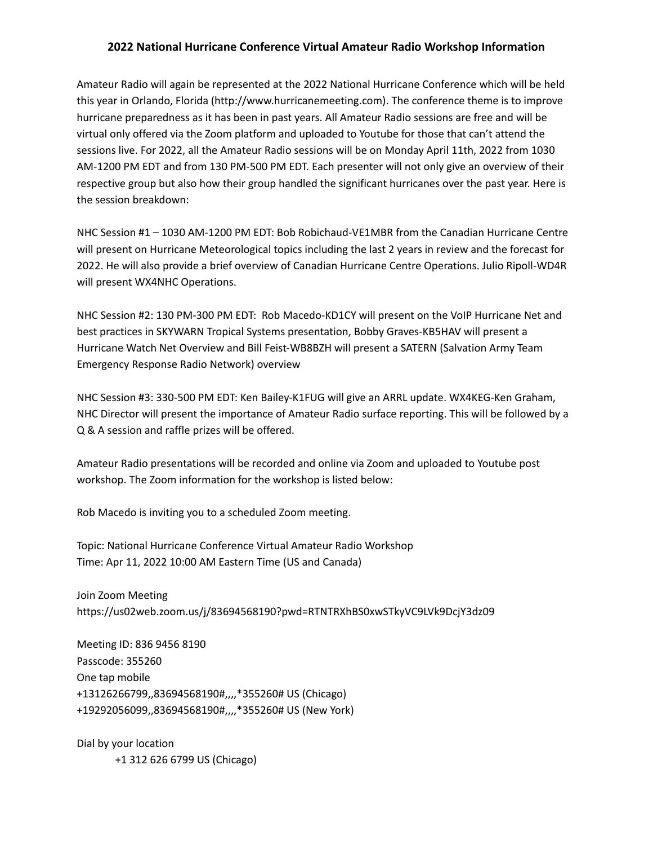## **2022 National Hurricane Conference Virtual Amateur Radio Workshop Information**

Amateur Radio will again be represented at the 2022 National Hurricane Conference which will be held this year in Orlando, Florida (http://www.hurricanemeeting.com). The conference theme is to improve hurricane preparedness as it has been in past years. All Amateur Radio sessions are free and will be virtual only offered via the Zoom platform and uploaded to Youtube for those that can't attend the sessions live. For 2022, all the Amateur Radio sessions will be on Monday April 11th, 2022 from 1030 AM-1200 PM EDT and from 130 PM-500 PM EDT. Each presenter will not only give an overview of their respective group but also how their group handled the significant hurricanes over the past year. Here is the session breakdown:

NHC Session #1 – 1030 AM-1200 PM EDT: Bob Robichaud-VE1MBR from the Canadian Hurricane Centre will present on Hurricane Meteorological topics including the last 2 years in review and the forecast for 2022. He will also provide a brief overview of Canadian Hurricane Centre Operations. Julio Ripoll-WD4R will present WX4NHC Operations.

NHC Session #2: 130 PM-300 PM EDT: Rob Macedo-KD1CY will present on the VoIP Hurricane Net and best practices in SKYWARN Tropical Systems presentation, Bobby Graves-KB5HAV will present a Hurricane Watch Net Overview and Bill Feist-WB8BZH will present a SATERN (Salvation Army Team Emergency Response Radio Network) overview

NHC Session #3: 330-500 PM EDT: Ken Bailey-K1FUG will give an ARRL update. WX4KEG-Ken Graham, NHC Director will present the importance of Amateur Radio surface reporting. This will be followed by a Q & A session and raffle prizes will be offered.

Amateur Radio presentations will be recorded and online via Zoom and uploaded to Youtube post workshop. The Zoom information for the workshop is listed below:

Rob Macedo is inviting you to a scheduled Zoom meeting.

Topic: National Hurricane Conference Virtual Amateur Radio Workshop Time: Apr 11, 2022 10:00 AM Eastern Time (US and Canada)

Join Zoom Meeting https://us02web.zoom.us/j/83694568190?pwd=RTNTRXhBS0xwSTkyVC9LVk9DcjY3dz09

Meeting ID: 836 9456 8190 Passcode: 355260 One tap mobile +13126266799,,83694568190#,,,,\*355260# US (Chicago) +19292056099,,83694568190#,,,,\*355260# US (New York)

Dial by your location +1 312 626 6799 US (Chicago)